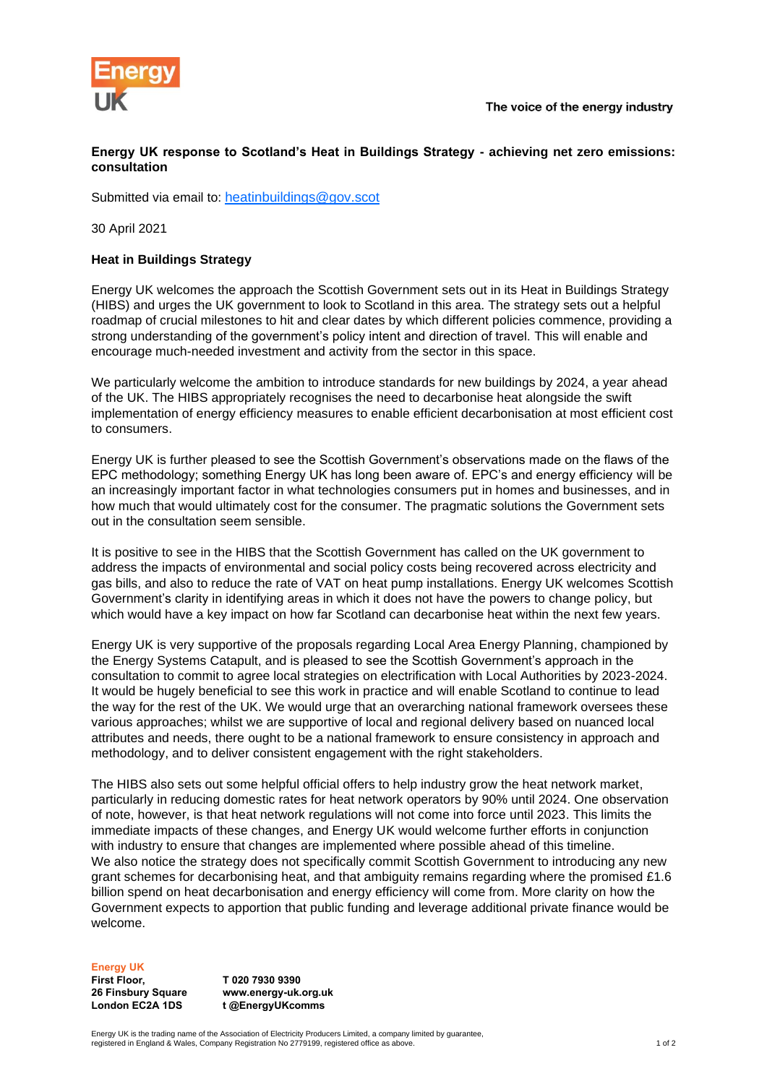

## **Energy UK response to Scotland's Heat in Buildings Strategy - achieving net zero emissions: consultation**

Submitted via email to: [heatinbuildings@gov.scot](mailto:heatinbuildings@gov.scot)

30 April 2021

## **Heat in Buildings Strategy**

Energy UK welcomes the approach the Scottish Government sets out in its Heat in Buildings Strategy (HIBS) and urges the UK government to look to Scotland in this area. The strategy sets out a helpful roadmap of crucial milestones to hit and clear dates by which different policies commence, providing a strong understanding of the government's policy intent and direction of travel. This will enable and encourage much-needed investment and activity from the sector in this space.

We particularly welcome the ambition to introduce standards for new buildings by 2024, a year ahead of the UK. The HIBS appropriately recognises the need to decarbonise heat alongside the swift implementation of energy efficiency measures to enable efficient decarbonisation at most efficient cost to consumers.

Energy UK is further pleased to see the Scottish Government's observations made on the flaws of the EPC methodology; something Energy UK has long been aware of. EPC's and energy efficiency will be an increasingly important factor in what technologies consumers put in homes and businesses, and in how much that would ultimately cost for the consumer. The pragmatic solutions the Government sets out in the consultation seem sensible.

It is positive to see in the HIBS that the Scottish Government has called on the UK government to address the impacts of environmental and social policy costs being recovered across electricity and gas bills, and also to reduce the rate of VAT on heat pump installations. Energy UK welcomes Scottish Government's clarity in identifying areas in which it does not have the powers to change policy, but which would have a key impact on how far Scotland can decarbonise heat within the next few years.

Energy UK is very supportive of the proposals regarding Local Area Energy Planning, championed by the Energy Systems Catapult, and is pleased to see the Scottish Government's approach in the consultation to commit to agree local strategies on electrification with Local Authorities by 2023-2024. It would be hugely beneficial to see this work in practice and will enable Scotland to continue to lead the way for the rest of the UK. We would urge that an overarching national framework oversees these various approaches; whilst we are supportive of local and regional delivery based on nuanced local attributes and needs, there ought to be a national framework to ensure consistency in approach and methodology, and to deliver consistent engagement with the right stakeholders.

The HIBS also sets out some helpful official offers to help industry grow the heat network market, particularly in reducing domestic rates for heat network operators by 90% until 2024. One observation of note, however, is that heat network regulations will not come into force until 2023. This limits the immediate impacts of these changes, and Energy UK would welcome further efforts in conjunction with industry to ensure that changes are implemented where possible ahead of this timeline. We also notice the strategy does not specifically commit Scottish Government to introducing any new grant schemes for decarbonising heat, and that ambiguity remains regarding where the promised £1.6 billion spend on heat decarbonisation and energy efficiency will come from. More clarity on how the Government expects to apportion that public funding and leverage additional private finance would be welcome.

## **Energy UK**

**First Floor, 26 Finsbury Square London EC2A 1DS**

**T 020 7930 9390 www.energy-uk.org.uk t @EnergyUKcomms**